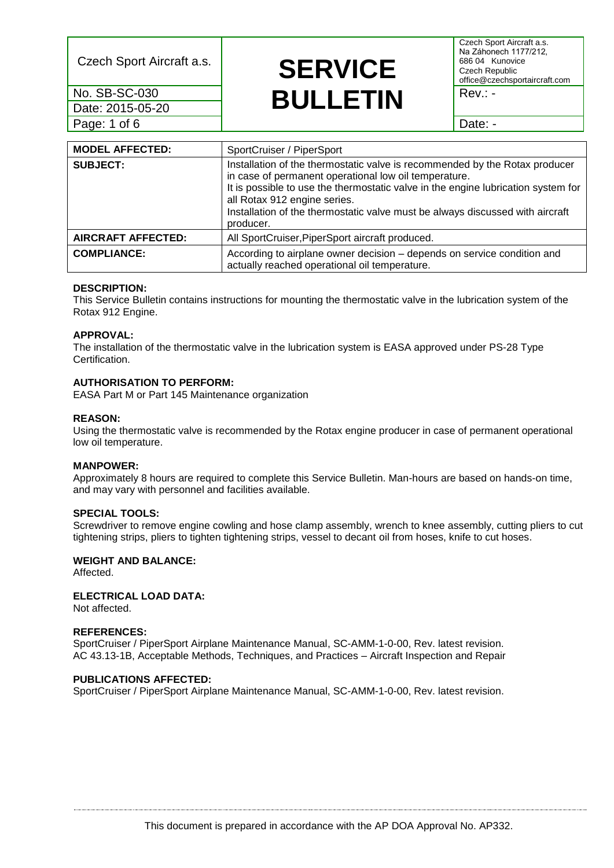Date: 2015-05-20 Page: 1 of 6 **Date: - Date: - Date: - Date: - Date: -**

## Czech Sport Aircraft a.s. **SERVICE No. SB-SC-030**<br>Date: 2015-05-20 **Rev.: - BULLETIN**

Czech Sport Aircraft a.s. Na Záhonech 1177/212, 686 04 Kunovice Czech Republic office@czechsportaircraft.com

| <b>MODEL AFFECTED:</b>    | SportCruiser / PiperSport                                                                                                                                                                                                                                                                                                                               |  |  |
|---------------------------|---------------------------------------------------------------------------------------------------------------------------------------------------------------------------------------------------------------------------------------------------------------------------------------------------------------------------------------------------------|--|--|
| <b>SUBJECT:</b>           | Installation of the thermostatic valve is recommended by the Rotax producer<br>in case of permanent operational low oil temperature.<br>It is possible to use the thermostatic valve in the engine lubrication system for<br>all Rotax 912 engine series.<br>Installation of the thermostatic valve must be always discussed with aircraft<br>producer. |  |  |
| <b>AIRCRAFT AFFECTED:</b> | All SportCruiser, PiperSport aircraft produced.                                                                                                                                                                                                                                                                                                         |  |  |
| <b>COMPLIANCE:</b>        | According to airplane owner decision - depends on service condition and<br>actually reached operational oil temperature.                                                                                                                                                                                                                                |  |  |

#### **DESCRIPTION:**

This Service Bulletin contains instructions for mounting the thermostatic valve in the lubrication system of the Rotax 912 Engine.

#### **APPROVAL:**

The installation of the thermostatic valve in the lubrication system is EASA approved under PS-28 Type Certification.

#### **AUTHORISATION TO PERFORM:**

EASA Part M or Part 145 Maintenance organization

#### **REASON:**

Using the thermostatic valve is recommended by the Rotax engine producer in case of permanent operational low oil temperature.

#### **MANPOWER:**

Approximately 8 hours are required to complete this Service Bulletin. Man-hours are based on hands-on time, and may vary with personnel and facilities available.

## **SPECIAL TOOLS:**

Screwdriver to remove engine cowling and hose clamp assembly, wrench to knee assembly, cutting pliers to cut tightening strips, pliers to tighten tightening strips, vessel to decant oil from hoses, knife to cut hoses.

## **WEIGHT AND BALANCE:**

Affected.

## **ELECTRICAL LOAD DATA:**

Not affected.

#### **REFERENCES:**

SportCruiser / PiperSport Airplane Maintenance Manual, SC-AMM-1-0-00, Rev. latest revision. AC 43.13-1B, Acceptable Methods, Techniques, and Practices – Aircraft Inspection and Repair

#### **PUBLICATIONS AFFECTED:**

SportCruiser / PiperSport Airplane Maintenance Manual, SC-AMM-1-0-00, Rev. latest revision.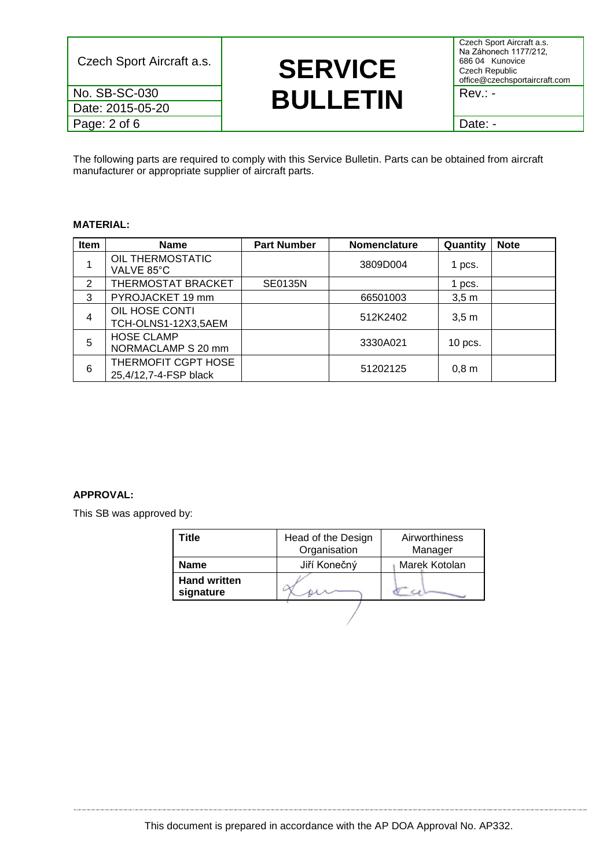Date: 2015-05-20

Czech Sport Aircraft a.s. **SERVICE No. SB-SC-030**<br>Date: 2015-05-20 **Rev.: - BULLETIN** 

Czech Sport Aircraft a.s. Na Záhonech 1177/212, 686 04 Kunovice Czech Republic office@czechsportaircraft.com

Page: 2 of 6 Date: -

The following parts are required to comply with this Service Bulletin. Parts can be obtained from aircraft manufacturer or appropriate supplier of aircraft parts.

## **MATERIAL:**

| Item | <b>Name</b>                                  | <b>Part Number</b> | <b>Nomenclature</b> | Quantity | <b>Note</b> |
|------|----------------------------------------------|--------------------|---------------------|----------|-------------|
|      | OIL THERMOSTATIC<br>VALVE 85°C               |                    | 3809D004            | 1 pcs.   |             |
| 2    | THERMOSTAT BRACKET                           | <b>SE0135N</b>     |                     | 1 pcs.   |             |
| 3    | PYROJACKET 19 mm                             |                    | 66501003            | 3,5m     |             |
| 4    | OIL HOSE CONTI<br>TCH-OLNS1-12X3,5AEM        |                    | 512K2402            | 3,5m     |             |
| 5    | <b>HOSE CLAMP</b><br>NORMACLAMP S 20 mm      |                    | 3330A021            | 10 pcs.  |             |
| 6    | THERMOFIT CGPT HOSE<br>25,4/12,7-4-FSP black |                    | 51202125            | $0,8$ m  |             |

## **APPROVAL:**

This SB was approved by:

| Title                            | Head of the Design<br>Organisation | Airworthiness<br>Manager |
|----------------------------------|------------------------------------|--------------------------|
| Name                             | Jiří Konečný                       | Marek Kotolan            |
| <b>Hand written</b><br>signature |                                    |                          |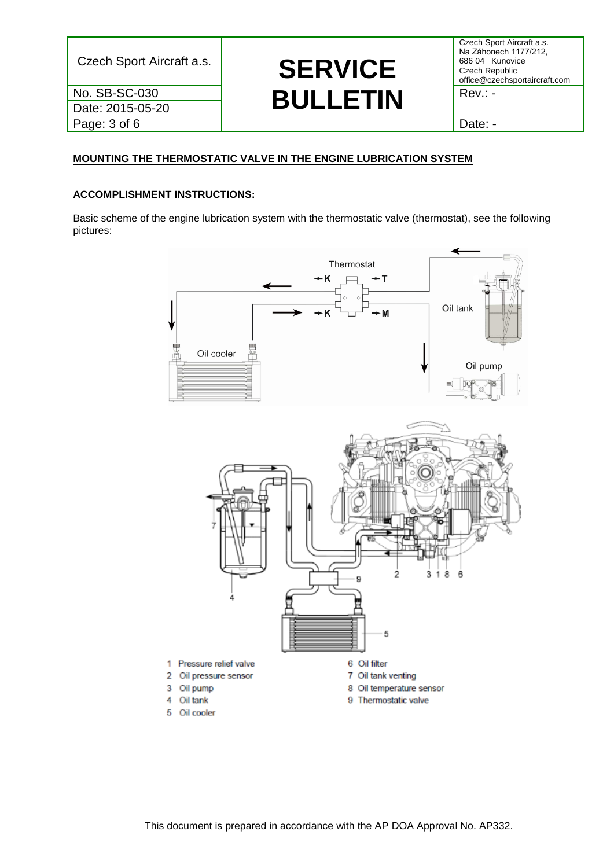Date: 2015-05-20 Page: 3 of 6 and 1 Date: -

## Czech Sport Aircraft a.s. **SERVICE No. SB-SC-030**<br>Date: 2015-05-20 **Rev.: - BULLETIN**

Czech Sport Aircraft a.s. Na Záhonech 1177/212, 686 04 Kunovice Czech Republic office@czechsportaircraft.com

## **MOUNTING THE THERMOSTATIC VALVE IN THE ENGINE LUBRICATION SYSTEM**

## **ACCOMPLISHMENT INSTRUCTIONS:**

Basic scheme of the engine lubrication system with the thermostatic valve (thermostat), see the following pictures:

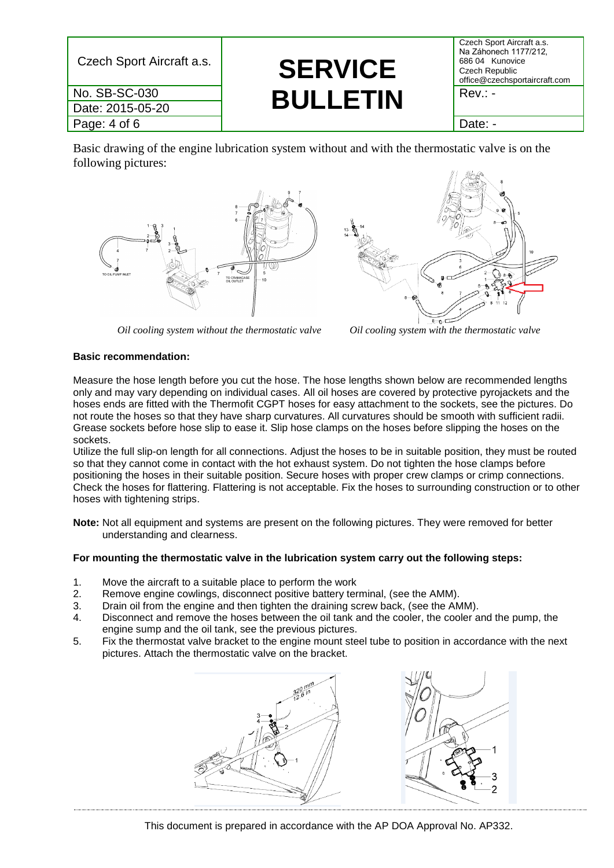| Czech Sport Aircraft a.s. | <b>SERVICE</b>  | Czech Sport Aircraft a.s.<br>Na Záhonech 1177/212,<br>686 04 Kunovice<br>Czech Republic<br>office@czechsportaircraft.com |
|---------------------------|-----------------|--------------------------------------------------------------------------------------------------------------------------|
| No. SB-SC-030             | <b>BULLETIN</b> | $Rev: -$                                                                                                                 |
| Date: 2015-05-20          |                 |                                                                                                                          |
| Page: 4 of 6              |                 | Date: -                                                                                                                  |

Basic drawing of the engine lubrication system without and with the thermostatic valve is on the following pictures:



*Oil cooling system without the thermostatic valve Oil cooling system with the thermostatic valve*



#### **Basic recommendation:**

Measure the hose length before you cut the hose. The hose lengths shown below are recommended lengths only and may vary depending on individual cases. All oil hoses are covered by protective pyrojackets and the hoses ends are fitted with the Thermofit CGPT hoses for easy attachment to the sockets, see the pictures. Do not route the hoses so that they have sharp curvatures. All curvatures should be smooth with sufficient radii. Grease sockets before hose slip to ease it. Slip hose clamps on the hoses before slipping the hoses on the sockets.

Utilize the full slip-on length for all connections. Adjust the hoses to be in suitable position, they must be routed so that they cannot come in contact with the hot exhaust system. Do not tighten the hose clamps before positioning the hoses in their suitable position. Secure hoses with proper crew clamps or crimp connections. Check the hoses for flattering. Flattering is not acceptable. Fix the hoses to surrounding construction or to other hoses with tightening strips.

**Note:** Not all equipment and systems are present on the following pictures. They were removed for better understanding and clearness.

## **For mounting the thermostatic valve in the lubrication system carry out the following steps:**

- 1. Move the aircraft to a suitable place to perform the work
- 2. Remove engine cowlings, disconnect positive battery terminal, (see the AMM).
- 3. Drain oil from the engine and then tighten the draining screw back, (see the AMM).
- 4. Disconnect and remove the hoses between the oil tank and the cooler, the cooler and the pump, the engine sump and the oil tank, see the previous pictures.
- 5. Fix the thermostat valve bracket to the engine mount steel tube to position in accordance with the next pictures. Attach the thermostatic valve on the bracket.



This document is prepared in accordance with the AP DOA Approval No. AP332.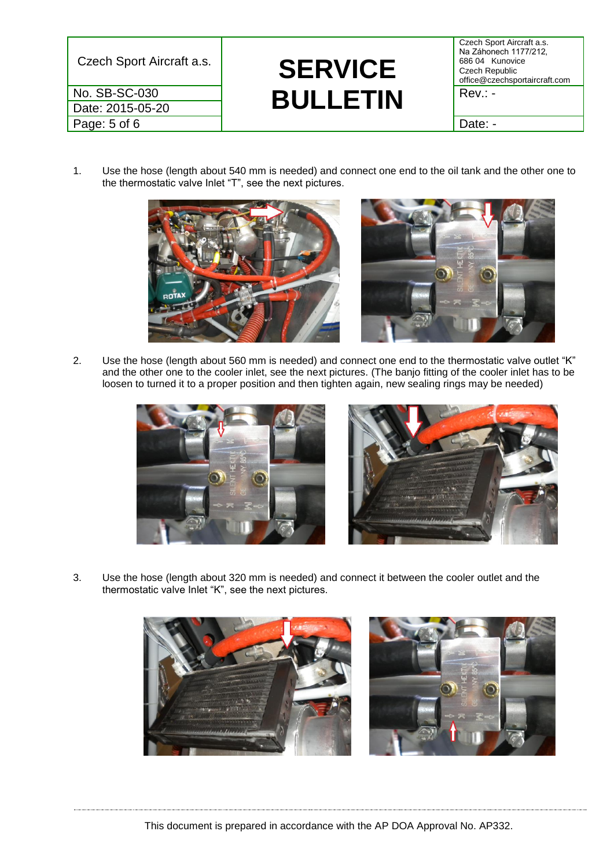Date: 2015-05-20 Page: 5 of 6 and 1 Date: -

# Czech Sport Aircraft a.s. **SERVICE No. SB-SC-030**<br>Date: 2015-05-20 **Rev.: - BULLETIN**

Czech Sport Aircraft a.s. Na Záhonech 1177/212, 686 04 Kunovice Czech Republic office@czechsportaircraft.com

1. Use the hose (length about 540 mm is needed) and connect one end to the oil tank and the other one to the thermostatic valve Inlet "T", see the next pictures.



2. Use the hose (length about 560 mm is needed) and connect one end to the thermostatic valve outlet "K" and the other one to the cooler inlet, see the next pictures. (The banjo fitting of the cooler inlet has to be loosen to turned it to a proper position and then tighten again, new sealing rings may be needed)





3. Use the hose (length about 320 mm is needed) and connect it between the cooler outlet and the thermostatic valve Inlet "K", see the next pictures.